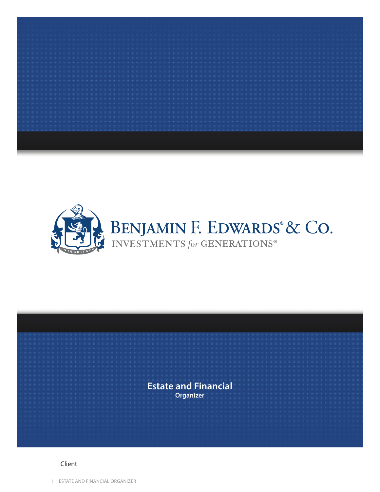



# **Estate and Financial Organizer**

Client

1 | ESTATE AND FINANCIAL ORGANIZER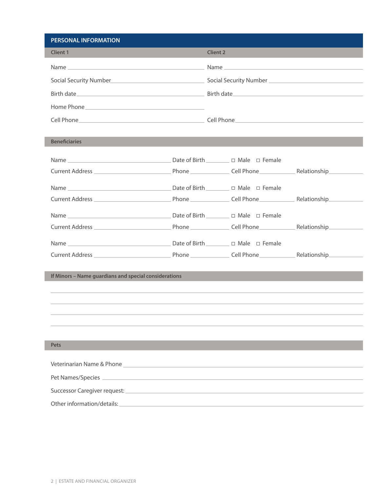| <b>PERSONAL INFORMATION</b>                                                                                                                                                                                                               |                 |  |
|-------------------------------------------------------------------------------------------------------------------------------------------------------------------------------------------------------------------------------------------|-----------------|--|
| <b>Client 1</b>                                                                                                                                                                                                                           | <b>Client 2</b> |  |
|                                                                                                                                                                                                                                           |                 |  |
| Social Security Number <b>Exercise 2 and 2</b> Social Security Number <b>Constanting Constanting Constanting Constanting Constanting Constanting Constanting Constanting Constanting Constanting Constanting Constanting Constanting </b> |                 |  |
| Birth date experience of the state of the Birth date of the Birth date of the state of the state of the state of the state of the state of the state of the state of the state of the state of the state of the state of the s            |                 |  |
|                                                                                                                                                                                                                                           |                 |  |
|                                                                                                                                                                                                                                           |                 |  |
|                                                                                                                                                                                                                                           |                 |  |
| <b>Beneficiaries</b>                                                                                                                                                                                                                      |                 |  |
|                                                                                                                                                                                                                                           |                 |  |
|                                                                                                                                                                                                                                           |                 |  |
|                                                                                                                                                                                                                                           |                 |  |
|                                                                                                                                                                                                                                           |                 |  |
|                                                                                                                                                                                                                                           |                 |  |
|                                                                                                                                                                                                                                           |                 |  |
|                                                                                                                                                                                                                                           |                 |  |
|                                                                                                                                                                                                                                           |                 |  |
|                                                                                                                                                                                                                                           |                 |  |
| If Minors - Name guardians and special considerations                                                                                                                                                                                     |                 |  |
|                                                                                                                                                                                                                                           |                 |  |
|                                                                                                                                                                                                                                           |                 |  |
|                                                                                                                                                                                                                                           |                 |  |
|                                                                                                                                                                                                                                           |                 |  |
|                                                                                                                                                                                                                                           |                 |  |
| <b>Pets</b>                                                                                                                                                                                                                               |                 |  |
|                                                                                                                                                                                                                                           |                 |  |
|                                                                                                                                                                                                                                           |                 |  |
|                                                                                                                                                                                                                                           |                 |  |
|                                                                                                                                                                                                                                           |                 |  |
| Other information/details:<br><u> 1989 - Johann Barn, amerikansk politiker (</u>                                                                                                                                                          |                 |  |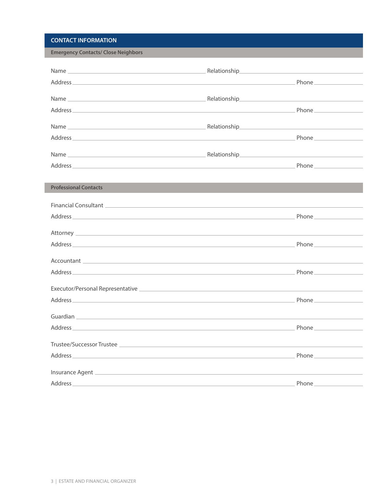## **CONTACT INFORMATION**

**Emergency Contacts/ Close Neighbors**

| Address Phone Property is a structure of the contract of the contract of the contract of the contract of the contract of the contract of the contract of the contract of the contract of the contract of the contract of the c       |  |
|--------------------------------------------------------------------------------------------------------------------------------------------------------------------------------------------------------------------------------------|--|
|                                                                                                                                                                                                                                      |  |
|                                                                                                                                                                                                                                      |  |
|                                                                                                                                                                                                                                      |  |
| Address <b>Phone</b>                                                                                                                                                                                                                 |  |
| <b>Professional Contacts</b>                                                                                                                                                                                                         |  |
| Financial Consultant League and Consultant Consultant Consultant Consultant Consultant Consultant Consultant Co                                                                                                                      |  |
|                                                                                                                                                                                                                                      |  |
|                                                                                                                                                                                                                                      |  |
|                                                                                                                                                                                                                                      |  |
|                                                                                                                                                                                                                                      |  |
|                                                                                                                                                                                                                                      |  |
|                                                                                                                                                                                                                                      |  |
|                                                                                                                                                                                                                                      |  |
| Guardian <b>and American Community of Community Community Community Community Community Community Community Community</b>                                                                                                            |  |
|                                                                                                                                                                                                                                      |  |
|                                                                                                                                                                                                                                      |  |
| Address Phone <b>Property and Contract Contract Contract Contract Contract Contract Contract Contract Contract Contract Contract Contract Contract Contract Contract Contract Contract Contract Contract Contract Contract Contr</b> |  |
|                                                                                                                                                                                                                                      |  |
|                                                                                                                                                                                                                                      |  |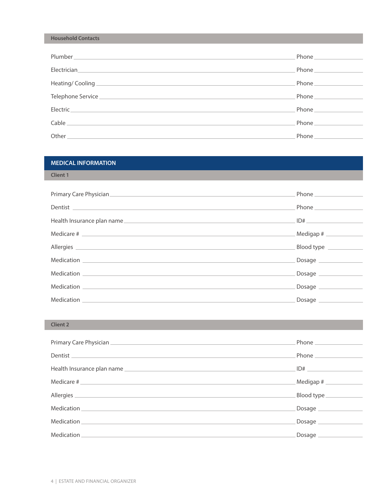#### **Household Contacts**

|                                                                                                                                                                                                                                      | Phone the contract of the contract of the contract of the contract of the contract of the contract of the contract of the contract of the contract of the contract of the contract of the contract of the contract of the cont |
|--------------------------------------------------------------------------------------------------------------------------------------------------------------------------------------------------------------------------------------|--------------------------------------------------------------------------------------------------------------------------------------------------------------------------------------------------------------------------------|
| Electrician <b>Electrician Electrician Electrician Electrician Electrician</b>                                                                                                                                                       | Phone <b>Communication</b>                                                                                                                                                                                                     |
|                                                                                                                                                                                                                                      | Phone $\_\_$                                                                                                                                                                                                                   |
|                                                                                                                                                                                                                                      |                                                                                                                                                                                                                                |
| Electric <b>Electric Electric Electric Contract Contract Contract Contract Contract Contract Contract Contract Contract Contract Contract Contract Contract Contract Contract Contract Contract Contract Contract Contract Contr</b> | <b>Phone</b> Phone                                                                                                                                                                                                             |
|                                                                                                                                                                                                                                      |                                                                                                                                                                                                                                |
|                                                                                                                                                                                                                                      | Phone ______________                                                                                                                                                                                                           |

### **MEDICAL INFORMATION**

#### **Client 1**

| Dentist                    | Phone _____________ |
|----------------------------|---------------------|
| Health Insurance plan name | ID#                 |
|                            |                     |
|                            | Blood type          |
|                            |                     |
|                            | Dosage              |
|                            | Dosage __________   |
|                            | Dosage __________   |

## **Client 2**

| Dentist                    | Phone ______________   |
|----------------------------|------------------------|
|                            | ID#                    |
|                            | Medigap #              |
| Allergies <b>Allergies</b> | Blood type ___________ |
|                            | Dosage ____________    |
|                            | Dosage _____________   |
|                            |                        |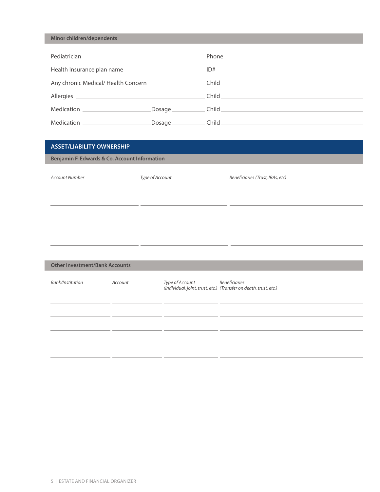### **Minor children/dependents**

|                                |                   | Child <b>Child</b> |
|--------------------------------|-------------------|--------------------|
|                                |                   |                    |
| Medication ___________________ |                   |                    |
|                                |                   |                    |
| Medication ___________________ | Dosage __________ | Child <b>Child</b> |

### **ASSET/LIABILITY OWNERSHIP**

**Benjamin F. Edwards & Co. Account Information**

| <b>Account Number</b> | Type of Account | Beneficiaries (Trust, IRAs, etc) |
|-----------------------|-----------------|----------------------------------|
|                       |                 |                                  |
|                       |                 |                                  |
|                       |                 |                                  |
|                       |                 |                                  |

| <b>Other Investment/Bank Accounts</b> |         |                 |                                                                                    |  |
|---------------------------------------|---------|-----------------|------------------------------------------------------------------------------------|--|
| Bank/Institution                      | Account | Type of Account | Beneficiaries<br>(Individual, joint, trust, etc.) (Transfer on death, trust, etc.) |  |
|                                       |         |                 |                                                                                    |  |
|                                       |         |                 |                                                                                    |  |
|                                       |         |                 |                                                                                    |  |
|                                       |         |                 |                                                                                    |  |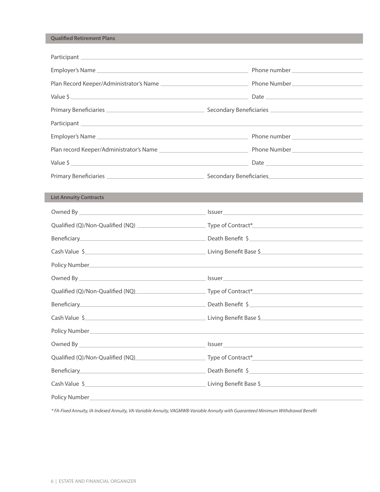#### **Qualified Retirement Plans**

L

|                                                                                                                                                                                                                                     | Value $\zeta$ Date $\zeta$ Date $\zeta$ Date $\zeta$                              |
|-------------------------------------------------------------------------------------------------------------------------------------------------------------------------------------------------------------------------------------|-----------------------------------------------------------------------------------|
|                                                                                                                                                                                                                                     |                                                                                   |
| <b>List Annuity Contracts</b>                                                                                                                                                                                                       |                                                                                   |
| Owned By <b>Exercise 2008</b> Contract and the Contract of the Contract of the Contract of the Contract of the Contract of the Contract of the Contract of the Contract of the Contract of the Contract of the Contract of the Cont |                                                                                   |
|                                                                                                                                                                                                                                     |                                                                                   |
|                                                                                                                                                                                                                                     | Beneficiary Death Benefit \$                                                      |
|                                                                                                                                                                                                                                     |                                                                                   |
|                                                                                                                                                                                                                                     |                                                                                   |
|                                                                                                                                                                                                                                     |                                                                                   |
|                                                                                                                                                                                                                                     | Qualified (Q)/Non-Qualified (NQ) example 1 Type of Contract*_____________________ |
|                                                                                                                                                                                                                                     | Beneficiary Death Benefit \$                                                      |
|                                                                                                                                                                                                                                     |                                                                                   |
|                                                                                                                                                                                                                                     |                                                                                   |
|                                                                                                                                                                                                                                     |                                                                                   |
|                                                                                                                                                                                                                                     | Qualified (Q)/Non-Qualified (NQ) Type of Contract*                                |
|                                                                                                                                                                                                                                     | Beneficiary <b>Example 2018 Death Benefit \$</b>                                  |
|                                                                                                                                                                                                                                     | Cash Value \$                                                                     |
| Policy Number <u>Communications</u> and the contract of the contract of the contract of the contract of the contract of                                                                                                             |                                                                                   |

*\* FA-Fixed Annuity, IA-Indexed Annuity, VA-Variable Annuity, VAGMWB-Variable Annuity with Guaranteed Minimum Withdrawal Benefit*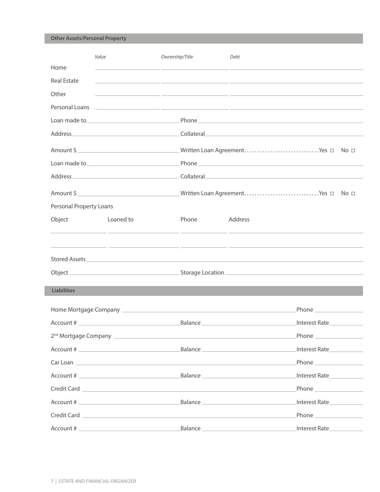**Other Assets/Personal Property**

|                         | Value                                                                                                           | Ownership/Title                                                                                                       | Debt                                                                                                                                                                                                                                               |
|-------------------------|-----------------------------------------------------------------------------------------------------------------|-----------------------------------------------------------------------------------------------------------------------|----------------------------------------------------------------------------------------------------------------------------------------------------------------------------------------------------------------------------------------------------|
| Home                    |                                                                                                                 | <u> 1989 - Andrea Andrew Maria (h. 1989).</u>                                                                         |                                                                                                                                                                                                                                                    |
| <b>Real Estate</b>      |                                                                                                                 |                                                                                                                       | <u> 1989 - Andrea Santa Andrea Andrea Andrea Andrea Andrea Andrea Andrea Andrea Andrea Andrea Andrea Andrea Andr</u>                                                                                                                               |
| Other                   |                                                                                                                 | <u> 1989 - Jan James James, martin de la populación de la propia de la propia de la propia de la propia de la pro</u> |                                                                                                                                                                                                                                                    |
| Personal Loans          |                                                                                                                 |                                                                                                                       | <u> 1999 - Jan Alexandro Alexandro Alexandro Alexandro Alexandro Alexandro Alexandro Alexandro Alexandro Alexandro </u>                                                                                                                            |
|                         |                                                                                                                 |                                                                                                                       |                                                                                                                                                                                                                                                    |
|                         |                                                                                                                 |                                                                                                                       |                                                                                                                                                                                                                                                    |
|                         |                                                                                                                 |                                                                                                                       |                                                                                                                                                                                                                                                    |
|                         | Loan made to subsequently approximately a series of the series of the series of the series of the series of the |                                                                                                                       |                                                                                                                                                                                                                                                    |
|                         |                                                                                                                 |                                                                                                                       |                                                                                                                                                                                                                                                    |
|                         | Amount \$                                                                                                       |                                                                                                                       |                                                                                                                                                                                                                                                    |
| Personal Property Loans |                                                                                                                 |                                                                                                                       |                                                                                                                                                                                                                                                    |
| Object                  | <b>Example 1</b> Loaned to                                                                                      | Phone                                                                                                                 | Address                                                                                                                                                                                                                                            |
|                         |                                                                                                                 | <u> 1999 - Jan James James Barnett, pre</u>                                                                           | <u> 1999 - Jan Samuel Barbara, presidente en la provincia de la provincia de la provincia de la provincia de la p</u>                                                                                                                              |
|                         |                                                                                                                 |                                                                                                                       |                                                                                                                                                                                                                                                    |
|                         |                                                                                                                 |                                                                                                                       |                                                                                                                                                                                                                                                    |
| <b>Liabilities</b>      |                                                                                                                 |                                                                                                                       |                                                                                                                                                                                                                                                    |
|                         |                                                                                                                 |                                                                                                                       | Phone $\_\_$<br>Home Mortgage Company <b>Exercise Company</b> and the Company of the Company of the Company of the Company of the Company of the Company of the Company of the Company of the Company of the Company of the Company of the Company |
| Account #               |                                                                                                                 | Balance                                                                                                               | Interest Rate                                                                                                                                                                                                                                      |
|                         |                                                                                                                 |                                                                                                                       | Phone ________________                                                                                                                                                                                                                             |
|                         |                                                                                                                 |                                                                                                                       | Interest Rate                                                                                                                                                                                                                                      |
|                         |                                                                                                                 |                                                                                                                       | Phone __________________<br>Car Loan <b>Exercía de Santo de Santo de Santo de Santo de Santo de Santo de Santo de Santo de Santo de Santo de S</b>                                                                                                 |
|                         |                                                                                                                 |                                                                                                                       |                                                                                                                                                                                                                                                    |
|                         |                                                                                                                 |                                                                                                                       |                                                                                                                                                                                                                                                    |
|                         |                                                                                                                 |                                                                                                                       | Interest Rate                                                                                                                                                                                                                                      |
|                         |                                                                                                                 |                                                                                                                       |                                                                                                                                                                                                                                                    |
|                         |                                                                                                                 |                                                                                                                       |                                                                                                                                                                                                                                                    |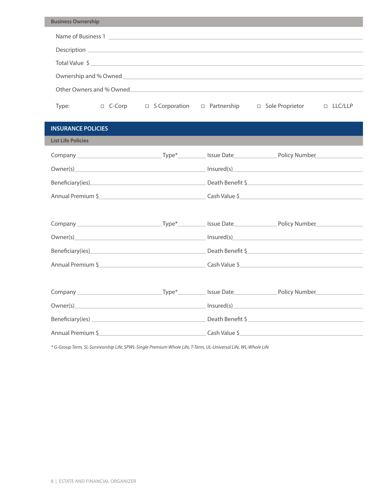| <b>Business Ownership</b> |                                                                                                                                                                                                                                |               |                                                                                                                                                                                                                                |  |
|---------------------------|--------------------------------------------------------------------------------------------------------------------------------------------------------------------------------------------------------------------------------|---------------|--------------------------------------------------------------------------------------------------------------------------------------------------------------------------------------------------------------------------------|--|
|                           |                                                                                                                                                                                                                                |               |                                                                                                                                                                                                                                |  |
|                           |                                                                                                                                                                                                                                |               |                                                                                                                                                                                                                                |  |
|                           | Total Value \$                                                                                                                                                                                                                 |               |                                                                                                                                                                                                                                |  |
|                           |                                                                                                                                                                                                                                |               |                                                                                                                                                                                                                                |  |
|                           | Other Owners and % Owned and the contract of the contract of the contract of the contract of the contract of the contract of the contract of the contract of the contract of the contract of the contract of the contract of t |               |                                                                                                                                                                                                                                |  |
| Type:                     |                                                                                                                                                                                                                                |               |                                                                                                                                                                                                                                |  |
| <b>INSURANCE POLICIES</b> |                                                                                                                                                                                                                                |               |                                                                                                                                                                                                                                |  |
| <b>List Life Policies</b> |                                                                                                                                                                                                                                |               |                                                                                                                                                                                                                                |  |
|                           |                                                                                                                                                                                                                                |               |                                                                                                                                                                                                                                |  |
|                           |                                                                                                                                                                                                                                |               | Owner(s) lnsured(s) lnsured(s) lnsured(s) lnsured(s) lnsured(s) lnsured(s) lnsured(s) lnsured(s) lnsured(s) lnsured(s) lnsured(s) lnsured(s) lnsured(s) lnsured(s) lnsured(s) lnsured(s) lnsured(s) lnsured(s) lnsured(s) lnsu |  |
|                           |                                                                                                                                                                                                                                |               | Beneficiary(ies) Death Benefit \$                                                                                                                                                                                              |  |
|                           |                                                                                                                                                                                                                                |               | Annual Premium \$2000 Contract and Case of Cash Value \$2000 Cash Value \$2000 Contract and Case of Case of Case o                                                                                                             |  |
|                           |                                                                                                                                                                                                                                |               |                                                                                                                                                                                                                                |  |
|                           |                                                                                                                                                                                                                                |               |                                                                                                                                                                                                                                |  |
|                           |                                                                                                                                                                                                                                |               |                                                                                                                                                                                                                                |  |
|                           |                                                                                                                                                                                                                                |               | Beneficiary(ies) Death Benefit \$                                                                                                                                                                                              |  |
|                           |                                                                                                                                                                                                                                |               |                                                                                                                                                                                                                                |  |
|                           |                                                                                                                                                                                                                                |               |                                                                                                                                                                                                                                |  |
|                           |                                                                                                                                                                                                                                |               |                                                                                                                                                                                                                                |  |
| Owner(s)                  |                                                                                                                                                                                                                                | Insured(s)    | the control of the control of the control of                                                                                                                                                                                   |  |
|                           |                                                                                                                                                                                                                                |               | Death Benefit \$                                                                                                                                                                                                               |  |
|                           | Annual Premium \$                                                                                                                                                                                                              | Cash Value \$ | <u> 1980 - Johann Barbara, martin a</u>                                                                                                                                                                                        |  |

*\* G-Group Term, SL-Survivorship Life, SPWL-Single Premium Whole Life, T-Term, UL-Universal Life, WL-Whole Life*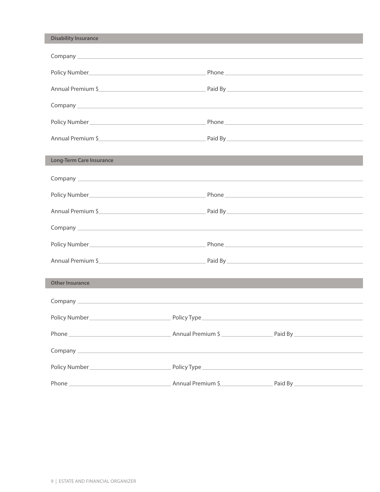| <b>Disability Insurance</b>     |                   |                                                                                                                                                                                                                                      |  |
|---------------------------------|-------------------|--------------------------------------------------------------------------------------------------------------------------------------------------------------------------------------------------------------------------------------|--|
|                                 |                   |                                                                                                                                                                                                                                      |  |
|                                 |                   |                                                                                                                                                                                                                                      |  |
|                                 | Annual Premium \$ |                                                                                                                                                                                                                                      |  |
|                                 |                   |                                                                                                                                                                                                                                      |  |
|                                 |                   |                                                                                                                                                                                                                                      |  |
|                                 | Annual Premium \$ |                                                                                                                                                                                                                                      |  |
| <b>Long-Term Care Insurance</b> |                   |                                                                                                                                                                                                                                      |  |
|                                 |                   |                                                                                                                                                                                                                                      |  |
|                                 |                   |                                                                                                                                                                                                                                      |  |
|                                 | Annual Premium \$ |                                                                                                                                                                                                                                      |  |
|                                 |                   |                                                                                                                                                                                                                                      |  |
| Policy Number                   |                   | Phone <b>contract and contract and contract and contract of the contract of the contract of the contract of the contract of the contract of the contract of the contract of the contract of the contract of the contract of the </b> |  |
|                                 | Annual Premium \$ |                                                                                                                                                                                                                                      |  |
| <b>Other Insurance</b>          |                   |                                                                                                                                                                                                                                      |  |
|                                 |                   |                                                                                                                                                                                                                                      |  |
|                                 |                   |                                                                                                                                                                                                                                      |  |
|                                 |                   |                                                                                                                                                                                                                                      |  |
|                                 |                   |                                                                                                                                                                                                                                      |  |
|                                 |                   |                                                                                                                                                                                                                                      |  |
|                                 |                   |                                                                                                                                                                                                                                      |  |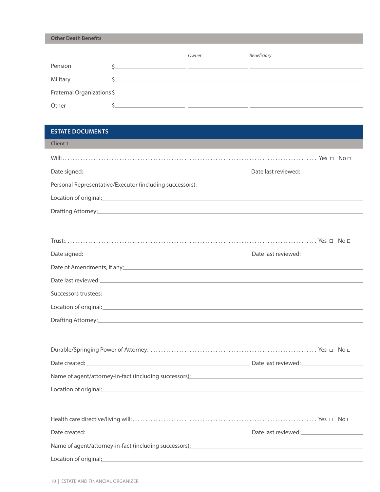**Other Death Benefits**

|                            | Owner | Beneficiary |
|----------------------------|-------|-------------|
| Pension                    |       |             |
| Military                   |       |             |
| Fraternal Organizations \$ |       |             |
| Other                      |       |             |

## **ESTATE DOCUMENTS**

| <b>Client 1</b>                                                                                                                                                                                                                  |  |
|----------------------------------------------------------------------------------------------------------------------------------------------------------------------------------------------------------------------------------|--|
|                                                                                                                                                                                                                                  |  |
|                                                                                                                                                                                                                                  |  |
| Personal Representative/Executor (including successors):<br>The material contract of the contract of the contract of the contract of the contract of the contract of the contract of the contract of the contract of the contrac |  |
| Location of original: example and a series of the series of the series of the series of the series of the series of the series of the series of the series of the series of the series of the series of the series of the seri   |  |
| Drafting Attorney: University of the contract of the contract of the contract of the contract of the contract of the contract of the contract of the contract of the contract of the contract of the contract of the contract    |  |
|                                                                                                                                                                                                                                  |  |
|                                                                                                                                                                                                                                  |  |
|                                                                                                                                                                                                                                  |  |
| Date of Amendments, if any:                                                                                                                                                                                                      |  |
|                                                                                                                                                                                                                                  |  |
|                                                                                                                                                                                                                                  |  |
| Location of original: example and a series of the series of the series of the series of the series of the series of the series of the series of the series of the series of the series of the series of the series of the seri   |  |
|                                                                                                                                                                                                                                  |  |
|                                                                                                                                                                                                                                  |  |
|                                                                                                                                                                                                                                  |  |
| Date created: <u>Date created:</u> Date last reviewed:                                                                                                                                                                           |  |
| Name of agent/attorney-in-fact (including successors): Name of agent/attorney-in-fact (including successors):                                                                                                                    |  |
| Location of original: example and a series of original and a series of original and a series of original and a                                                                                                                   |  |
|                                                                                                                                                                                                                                  |  |
|                                                                                                                                                                                                                                  |  |
| Date created: <u>Date created:</u> Date last reviewed: Date last reviewed: Date last reviewed:                                                                                                                                   |  |
| Name of agent/attorney-in-fact (including successors): Name of agents and all the set of agents and all the set of the set of the set of the set of the set of the set of the set of the set of the set of the set of the set    |  |
| Location of original: example and a series of original control of the series of the series of the series of the                                                                                                                  |  |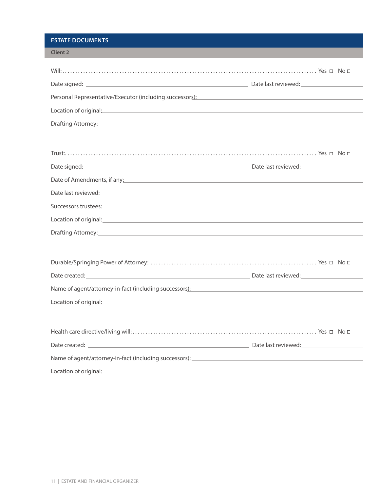## **ESTATE DOCUMENTS**

ı

| <b>Client 2</b>                                                                                                                                                                                                                |  |
|--------------------------------------------------------------------------------------------------------------------------------------------------------------------------------------------------------------------------------|--|
|                                                                                                                                                                                                                                |  |
|                                                                                                                                                                                                                                |  |
|                                                                                                                                                                                                                                |  |
| Personal Representative/Executor (including successors): National Contract of the Contract of the Contract of the Contract of the Contract of the Contract of the Contract of the Contract of the Contract of the Contract of  |  |
| Location of original: example and a state of the state of the state of the state of the state of the state of                                                                                                                  |  |
| Drafting Attorney: Notified the Contract of the Contract of the Contract of the Contract of the Contract of the Contract of the Contract of the Contract of the Contract of the Contract of the Contract of the Contract of th |  |
|                                                                                                                                                                                                                                |  |
|                                                                                                                                                                                                                                |  |
|                                                                                                                                                                                                                                |  |
| Date of Amendments, if any: example and a series of Amendments, if any:                                                                                                                                                        |  |
|                                                                                                                                                                                                                                |  |
| Date last reviewed: experience and a series of the series of the series of the series of the series of the series of the series of the series of the series of the series of the series of the series of the series of the ser |  |
| Successors trustees: <b>Example 2020</b> Successors trustees:                                                                                                                                                                  |  |
| Location of original: <u>contract of the contract of the contract of the contract of the contract of the contract of</u>                                                                                                       |  |
|                                                                                                                                                                                                                                |  |
|                                                                                                                                                                                                                                |  |
|                                                                                                                                                                                                                                |  |
|                                                                                                                                                                                                                                |  |
| Name of agent/attorney-in-fact (including successors): Name of agents and the substitution of agent and the substitution of the substitution of the substitution of the substitution of the substitution of the substitution o |  |
|                                                                                                                                                                                                                                |  |
| Location of original: example and a state of the state of the state of the state of the state of the state of the state of the state of the state of the state of the state of the state of the state of the state of the stat |  |
|                                                                                                                                                                                                                                |  |
|                                                                                                                                                                                                                                |  |
|                                                                                                                                                                                                                                |  |
|                                                                                                                                                                                                                                |  |
|                                                                                                                                                                                                                                |  |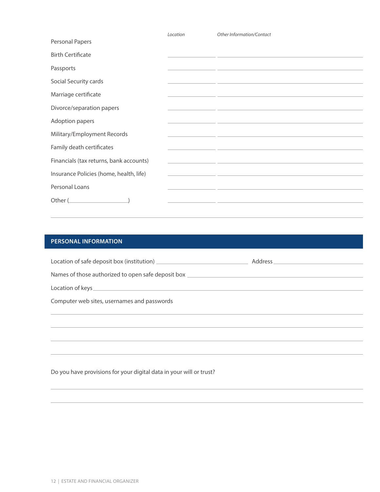|                                         | Location | Other Information/Contact                                                                                             |
|-----------------------------------------|----------|-----------------------------------------------------------------------------------------------------------------------|
| Personal Papers                         |          |                                                                                                                       |
| <b>Birth Certificate</b>                |          |                                                                                                                       |
| Passports                               |          | <u> 1989 - Andrea Santa Galile, amerikan bahasa dan berasal dan berasal dalam berasal dalam berasal dalam berasal</u> |
| Social Security cards                   |          | <u> 1989 - Andrea Andrea Andrea Andrea Andrea Andrea Andrea Andrea Andrea Andrea Andrea Andrea Andrea Andrea Andr</u> |
| Marriage certificate                    |          | <u> 1980 - Johann John Stone, markin fizikar (</u>                                                                    |
| Divorce/separation papers               |          | <u> 1989 - Johann John Harry Harry Harry Harry Harry Harry Harry Harry Harry Harry Harry Harry Harry Harry Harry</u>  |
| Adoption papers                         |          | <u> 1989 - Johann Johann Stoff, deutscher Stoff und der Stoff und der Stoff und der Stoff und der Stoff und der S</u> |
| Military/Employment Records             |          | <u> 1989 - Johann John Stone, Amerikaansk politiker († 1908)</u>                                                      |
| Family death certificates               |          | <u> 1989 - Andrea Santa Alemania, amerikana amerikana amerikana amerikana amerikana amerikana amerikana amerikana</u> |
| Financials (tax returns, bank accounts) |          | <u> 1989 - Johann John Stein, mars an deutscher Stein und der Stein und der Stein und der Stein und der Stein und</u> |
| Insurance Policies (home, health, life) |          | <u> 1989 - Andrea Santa Andrea Andrea Andrea Andrea Andrea Andrea Andrea Andrea Andrea Andrea Andrea Andrea Andr</u>  |
| Personal Loans                          |          | <u> 1989 - Andrea Stein, amerikansk politiker (d. 1989)</u>                                                           |
|                                         |          | <u> 1989 - Johann John Stone, Amerikaansk politiker († 1908)</u>                                                      |

# **PERSONAL INFORMATION**

| Names of those authorized to open safe deposit box ______________________________ |  |
|-----------------------------------------------------------------------------------|--|
|                                                                                   |  |
| Computer web sites, usernames and passwords                                       |  |
|                                                                                   |  |
|                                                                                   |  |
|                                                                                   |  |
|                                                                                   |  |

Do you have provisions for your digital data in your will or trust?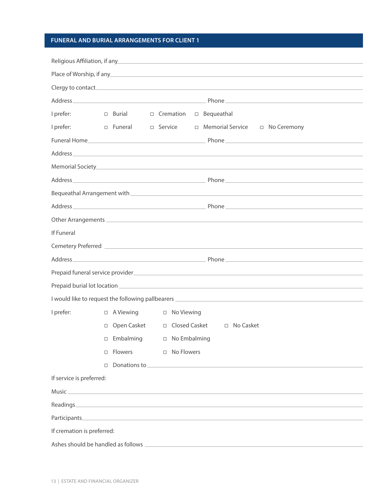## **FUNERAL AND BURIAL ARRANGEMENTS FOR CLIENT 1**

|                            | Religious Affiliation, if any the contract of the contract of the contract of the contract of the contract of                                                                                                                   |  |
|----------------------------|---------------------------------------------------------------------------------------------------------------------------------------------------------------------------------------------------------------------------------|--|
|                            | Place of Worship, if any the contract of the contract of the contract of the contract of the contract of the contract of the contract of the contract of the contract of the contract of the contract of the contract of the c  |  |
|                            |                                                                                                                                                                                                                                 |  |
|                            |                                                                                                                                                                                                                                 |  |
| I prefer:                  | $\Box$ Cremation<br>$\Box$ Bequeathal<br>$\Box$ Burial                                                                                                                                                                          |  |
| I prefer:                  | D Funeral<br>□ Memorial Service □ No Ceremony<br>$\Box$ Service                                                                                                                                                                 |  |
|                            |                                                                                                                                                                                                                                 |  |
|                            |                                                                                                                                                                                                                                 |  |
|                            |                                                                                                                                                                                                                                 |  |
|                            |                                                                                                                                                                                                                                 |  |
|                            |                                                                                                                                                                                                                                 |  |
|                            |                                                                                                                                                                                                                                 |  |
|                            |                                                                                                                                                                                                                                 |  |
| If Funeral                 |                                                                                                                                                                                                                                 |  |
|                            |                                                                                                                                                                                                                                 |  |
| <b>Address</b>             | $P$ hone $P$ and $P$ and $P$ and $P$ and $P$ and $P$ and $P$ and $P$ and $P$ and $P$ and $P$ and $P$ and $P$ and $P$ and $P$ and $P$ and $P$ and $P$ and $P$ and $P$ and $P$ and $P$ and $P$ and $P$ and $P$ and $P$ and $P$ an |  |
|                            |                                                                                                                                                                                                                                 |  |
|                            |                                                                                                                                                                                                                                 |  |
|                            |                                                                                                                                                                                                                                 |  |
| I prefer:                  | $\Box$ A Viewing<br>$\Box$ No Viewing                                                                                                                                                                                           |  |
|                            | Open Casket $\Box$ Closed Casket $\Box$ No Casket<br>$\Box$                                                                                                                                                                     |  |
|                            | Embalming<br>□ No Embalming<br>□                                                                                                                                                                                                |  |
|                            | □ Flowers<br>□ No Flowers                                                                                                                                                                                                       |  |
|                            | $\Box$                                                                                                                                                                                                                          |  |
| If service is preferred:   |                                                                                                                                                                                                                                 |  |
|                            |                                                                                                                                                                                                                                 |  |
|                            |                                                                                                                                                                                                                                 |  |
|                            |                                                                                                                                                                                                                                 |  |
| If cremation is preferred: |                                                                                                                                                                                                                                 |  |
|                            |                                                                                                                                                                                                                                 |  |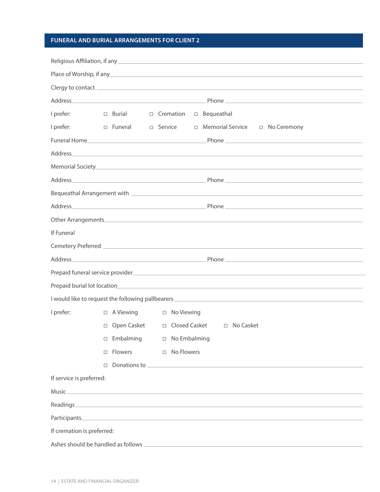## **FUNERAL AND BURIAL ARRANGEMENTS FOR CLIENT 2**

| I prefer:                  |        | □ Burial □ Cremation |                | □ Bequeathal                                                                                                                                                                                                                                                                           |
|----------------------------|--------|----------------------|----------------|----------------------------------------------------------------------------------------------------------------------------------------------------------------------------------------------------------------------------------------------------------------------------------------|
| I prefer:                  |        | □ Funeral □ Service  |                | □ Memorial Service □ No Ceremony                                                                                                                                                                                                                                                       |
|                            |        |                      |                |                                                                                                                                                                                                                                                                                        |
|                            |        |                      |                |                                                                                                                                                                                                                                                                                        |
|                            |        |                      |                |                                                                                                                                                                                                                                                                                        |
|                            |        |                      |                |                                                                                                                                                                                                                                                                                        |
|                            |        |                      |                |                                                                                                                                                                                                                                                                                        |
|                            |        |                      |                |                                                                                                                                                                                                                                                                                        |
|                            |        |                      |                | Other Arrangements <b>Executive Contract Contract Contract Contract Contract Contract Contract Contract Contract Contract Contract Contract Contract Contract Contract Contract Contract Contract Contract Contract Contract Con</b>                                                   |
| If Funeral                 |        |                      |                |                                                                                                                                                                                                                                                                                        |
|                            |        |                      |                |                                                                                                                                                                                                                                                                                        |
| Address_                   |        |                      |                | <u>Phone</u> Phone <b>Communication</b> Phone <b>Communication</b> Phone <b>Communication</b> Phone <b>Communication</b> Phone <b>Communication</b> Phone <b>Communication</b> Phone <b>Communication</b> Phone <b>Communication</b> Phone <b>Communication</b> Phone <b>Communica</b> |
|                            |        |                      |                |                                                                                                                                                                                                                                                                                        |
|                            |        |                      |                |                                                                                                                                                                                                                                                                                        |
|                            |        |                      |                |                                                                                                                                                                                                                                                                                        |
| I prefer:                  |        | $\Box$ A Viewing     | □ No Viewing   |                                                                                                                                                                                                                                                                                        |
|                            |        |                      |                | □ Open Casket □ Closed Casket □ No Casket                                                                                                                                                                                                                                              |
|                            | $\Box$ | Embalming            | □ No Embalming |                                                                                                                                                                                                                                                                                        |
|                            | $\Box$ | Flowers              | □ No Flowers   |                                                                                                                                                                                                                                                                                        |
|                            | $\Box$ |                      |                |                                                                                                                                                                                                                                                                                        |
| If service is preferred:   |        |                      |                |                                                                                                                                                                                                                                                                                        |
|                            |        |                      |                |                                                                                                                                                                                                                                                                                        |
|                            |        |                      |                |                                                                                                                                                                                                                                                                                        |
|                            |        |                      |                |                                                                                                                                                                                                                                                                                        |
| If cremation is preferred: |        |                      |                |                                                                                                                                                                                                                                                                                        |
|                            |        |                      |                |                                                                                                                                                                                                                                                                                        |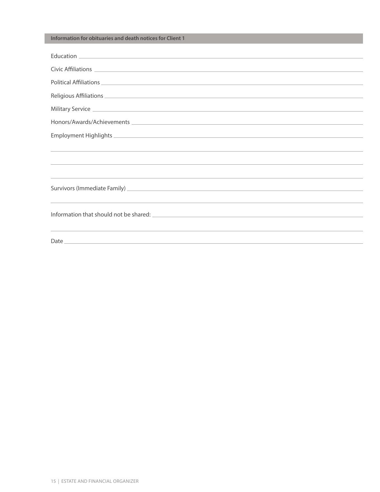### **Information for obituaries and death notices for Client 1**

| Political Affiliations <b>Access 2018</b> Political Affiliations <b>Access 2018</b>                                                                                                                                                  |
|--------------------------------------------------------------------------------------------------------------------------------------------------------------------------------------------------------------------------------------|
|                                                                                                                                                                                                                                      |
|                                                                                                                                                                                                                                      |
|                                                                                                                                                                                                                                      |
|                                                                                                                                                                                                                                      |
|                                                                                                                                                                                                                                      |
|                                                                                                                                                                                                                                      |
|                                                                                                                                                                                                                                      |
| Survivors (Immediate Family) <u>expression and the contract of the contract of the contract of the contract of the contract of the contract of the contract of the contract of the contract of the contract of the contract of t</u> |
|                                                                                                                                                                                                                                      |
|                                                                                                                                                                                                                                      |
|                                                                                                                                                                                                                                      |
|                                                                                                                                                                                                                                      |